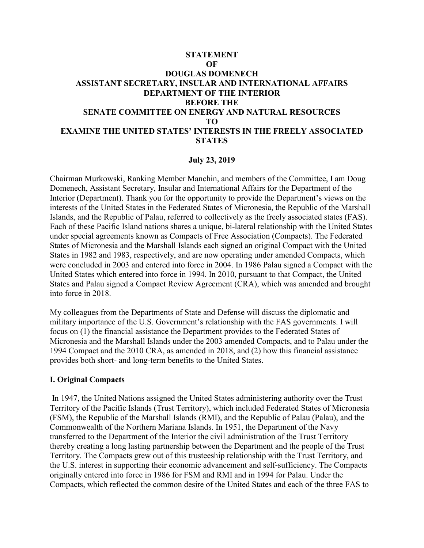## **STATEMENT OF DOUGLAS DOMENECH ASSISTANT SECRETARY, INSULAR AND INTERNATIONAL AFFAIRS DEPARTMENT OF THE INTERIOR BEFORE THE SENATE COMMITTEE ON ENERGY AND NATURAL RESOURCES TO EXAMINE THE UNITED STATES' INTERESTS IN THE FREELY ASSOCIATED STATES**

## **July 23, 2019**

Chairman Murkowski, Ranking Member Manchin, and members of the Committee, I am Doug Domenech, Assistant Secretary, Insular and International Affairs for the Department of the Interior (Department). Thank you for the opportunity to provide the Department's views on the interests of the United States in the Federated States of Micronesia, the Republic of the Marshall Islands, and the Republic of Palau, referred to collectively as the freely associated states (FAS). Each of these Pacific Island nations shares a unique, bi-lateral relationship with the United States under special agreements known as Compacts of Free Association (Compacts). The Federated States of Micronesia and the Marshall Islands each signed an original Compact with the United States in 1982 and 1983, respectively, and are now operating under amended Compacts, which were concluded in 2003 and entered into force in 2004. In 1986 Palau signed a Compact with the United States which entered into force in 1994. In 2010, pursuant to that Compact, the United States and Palau signed a Compact Review Agreement (CRA), which was amended and brought into force in 2018.

My colleagues from the Departments of State and Defense will discuss the diplomatic and military importance of the U.S. Government's relationship with the FAS governments. I will focus on (1) the financial assistance the Department provides to the Federated States of Micronesia and the Marshall Islands under the 2003 amended Compacts, and to Palau under the 1994 Compact and the 2010 CRA, as amended in 2018, and (2) how this financial assistance provides both short- and long-term benefits to the United States.

### **I. Original Compacts**

In 1947, the United Nations assigned the United States administering authority over the Trust Territory of the Pacific Islands (Trust Territory), which included Federated States of Micronesia (FSM), the Republic of the Marshall Islands (RMI), and the Republic of Palau (Palau), and the Commonwealth of the Northern Mariana Islands. In 1951, the Department of the Navy transferred to the Department of the Interior the civil administration of the Trust Territory thereby creating a long lasting partnership between the Department and the people of the Trust Territory. The Compacts grew out of this trusteeship relationship with the Trust Territory, and the U.S. interest in supporting their economic advancement and self-sufficiency. The Compacts originally entered into force in 1986 for FSM and RMI and in 1994 for Palau. Under the Compacts, which reflected the common desire of the United States and each of the three FAS to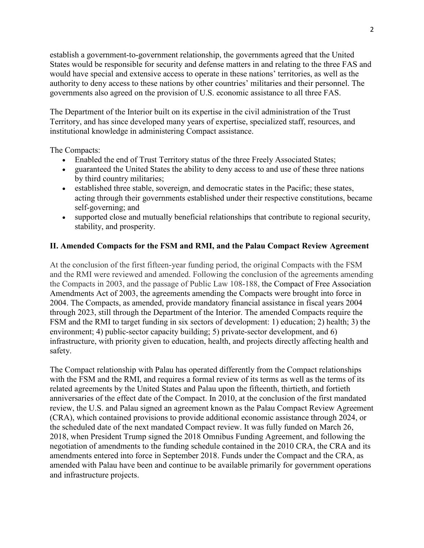establish a government-to-government relationship, the governments agreed that the United States would be responsible for security and defense matters in and relating to the three FAS and would have special and extensive access to operate in these nations' territories, as well as the authority to deny access to these nations by other countries' militaries and their personnel. The governments also agreed on the provision of U.S. economic assistance to all three FAS.

The Department of the Interior built on its expertise in the civil administration of the Trust Territory, and has since developed many years of expertise, specialized staff, resources, and institutional knowledge in administering Compact assistance.

The Compacts:

- Enabled the end of Trust Territory status of the three Freely Associated States;
- guaranteed the United States the ability to deny access to and use of these three nations by third country militaries;
- established three stable, sovereign, and democratic states in the Pacific; these states, acting through their governments established under their respective constitutions, became self-governing; and
- supported close and mutually beneficial relationships that contribute to regional security, stability, and prosperity.

## **II. Amended Compacts for the FSM and RMI, and the Palau Compact Review Agreement**

At the conclusion of the first fifteen-year funding period, the original Compacts with the FSM and the RMI were reviewed and amended. Following the conclusion of the agreements amending the Compacts in 2003, and the passage of Public Law 108-188, the Compact of Free Association Amendments Act of 2003, the agreements amending the Compacts were brought into force in 2004. The Compacts, as amended, provide mandatory financial assistance in fiscal years 2004 through 2023, still through the Department of the Interior. The amended Compacts require the FSM and the RMI to target funding in six sectors of development: 1) education; 2) health; 3) the environment; 4) public-sector capacity building; 5) private-sector development, and 6) infrastructure, with priority given to education, health, and projects directly affecting health and safety.

The Compact relationship with Palau has operated differently from the Compact relationships with the FSM and the RMI, and requires a formal review of its terms as well as the terms of its related agreements by the United States and Palau upon the fifteenth, thirtieth, and fortieth anniversaries of the effect date of the Compact. In 2010, at the conclusion of the first mandated review, the U.S. and Palau signed an agreement known as the Palau Compact Review Agreement (CRA), which contained provisions to provide additional economic assistance through 2024, or the scheduled date of the next mandated Compact review. It was fully funded on March 26, 2018, when President Trump signed the 2018 Omnibus Funding Agreement, and following the negotiation of amendments to the funding schedule contained in the 2010 CRA, the CRA and its amendments entered into force in September 2018. Funds under the Compact and the CRA, as amended with Palau have been and continue to be available primarily for government operations and infrastructure projects.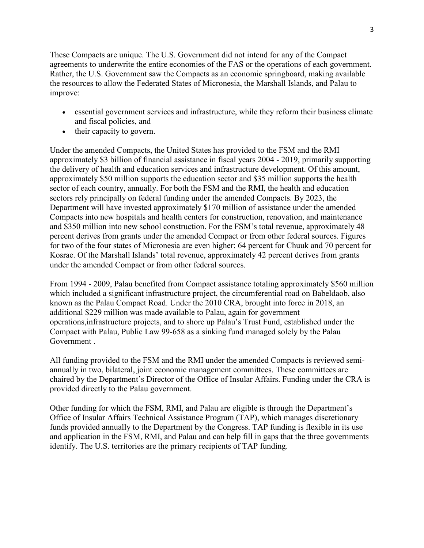These Compacts are unique. The U.S. Government did not intend for any of the Compact agreements to underwrite the entire economies of the FAS or the operations of each government. Rather, the U.S. Government saw the Compacts as an economic springboard, making available the resources to allow the Federated States of Micronesia, the Marshall Islands, and Palau to improve:

- essential government services and infrastructure, while they reform their business climate and fiscal policies, and
- their capacity to govern.

Under the amended Compacts, the United States has provided to the FSM and the RMI approximately \$3 billion of financial assistance in fiscal years 2004 - 2019, primarily supporting the delivery of health and education services and infrastructure development. Of this amount, approximately \$50 million supports the education sector and \$35 million supports the health sector of each country, annually. For both the FSM and the RMI, the health and education sectors rely principally on federal funding under the amended Compacts. By 2023, the Department will have invested approximately \$170 million of assistance under the amended Compacts into new hospitals and health centers for construction, renovation, and maintenance and \$350 million into new school construction. For the FSM's total revenue, approximately 48 percent derives from grants under the amended Compact or from other federal sources. Figures for two of the four states of Micronesia are even higher: 64 percent for Chuuk and 70 percent for Kosrae. Of the Marshall Islands' total revenue, approximately 42 percent derives from grants under the amended Compact or from other federal sources.

From 1994 - 2009, Palau benefited from Compact assistance totaling approximately \$560 million which included a significant infrastructure project, the circumferential road on Babeldaob, also known as the Palau Compact Road. Under the 2010 CRA, brought into force in 2018, an additional \$229 million was made available to Palau, again for government operations,infrastructure projects, and to shore up Palau's Trust Fund, established under the Compact with Palau, Public Law 99-658 as a sinking fund managed solely by the Palau Government .

All funding provided to the FSM and the RMI under the amended Compacts is reviewed semiannually in two, bilateral, joint economic management committees. These committees are chaired by the Department's Director of the Office of Insular Affairs. Funding under the CRA is provided directly to the Palau government.

Other funding for which the FSM, RMI, and Palau are eligible is through the Department's Office of Insular Affairs Technical Assistance Program (TAP), which manages discretionary funds provided annually to the Department by the Congress. TAP funding is flexible in its use and application in the FSM, RMI, and Palau and can help fill in gaps that the three governments identify. The U.S. territories are the primary recipients of TAP funding.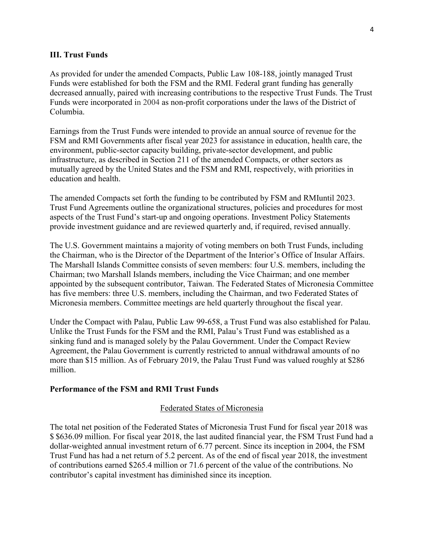### **III. Trust Funds**

As provided for under the amended Compacts, Public Law 108-188, jointly managed Trust Funds were established for both the FSM and the RMI. Federal grant funding has generally decreased annually, paired with increasing contributions to the respective Trust Funds. The Trust Funds were incorporated in 2004 as non-profit corporations under the laws of the District of Columbia.

Earnings from the Trust Funds were intended to provide an annual source of revenue for the FSM and RMI Governments after fiscal year 2023 for assistance in education, health care, the environment, public-sector capacity building, private-sector development, and public infrastructure, as described in Section 211 of the amended Compacts, or other sectors as mutually agreed by the United States and the FSM and RMI, respectively, with priorities in education and health.

The amended Compacts set forth the funding to be contributed by FSM and RMIuntil 2023. Trust Fund Agreements outline the organizational structures, policies and procedures for most aspects of the Trust Fund's start-up and ongoing operations. Investment Policy Statements provide investment guidance and are reviewed quarterly and, if required, revised annually.

The U.S. Government maintains a majority of voting members on both Trust Funds, including the Chairman, who is the Director of the Department of the Interior's Office of Insular Affairs. The Marshall Islands Committee consists of seven members: four U.S. members, including the Chairman; two Marshall Islands members, including the Vice Chairman; and one member appointed by the subsequent contributor, Taiwan. The Federated States of Micronesia Committee has five members: three U.S. members, including the Chairman, and two Federated States of Micronesia members. Committee meetings are held quarterly throughout the fiscal year.

Under the Compact with Palau, Public Law 99-658, a Trust Fund was also established for Palau. Unlike the Trust Funds for the FSM and the RMI, Palau's Trust Fund was established as a sinking fund and is managed solely by the Palau Government. Under the Compact Review Agreement, the Palau Government is currently restricted to annual withdrawal amounts of no more than \$15 million. As of February 2019, the Palau Trust Fund was valued roughly at \$286 million.

#### **Performance of the FSM and RMI Trust Funds**

#### Federated States of Micronesia

The total net position of the Federated States of Micronesia Trust Fund for fiscal year 2018 was \$ \$636.09 million. For fiscal year 2018, the last audited financial year, the FSM Trust Fund had a dollar-weighted annual investment return of 6.77 percent. Since its inception in 2004, the FSM Trust Fund has had a net return of 5.2 percent. As of the end of fiscal year 2018, the investment of contributions earned \$265.4 million or 71.6 percent of the value of the contributions. No contributor's capital investment has diminished since its inception.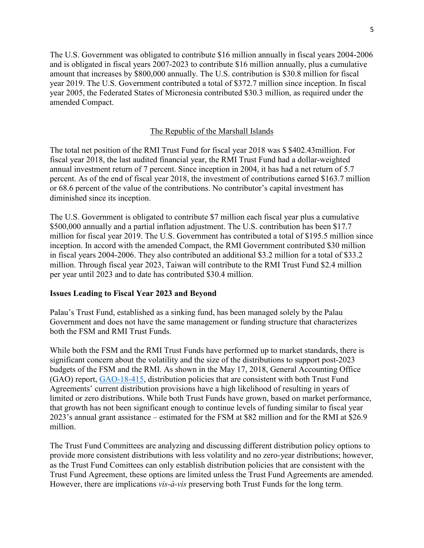The U.S. Government was obligated to contribute \$16 million annually in fiscal years 2004-2006 and is obligated in fiscal years 2007-2023 to contribute \$16 million annually, plus a cumulative amount that increases by \$800,000 annually. The U.S. contribution is \$30.8 million for fiscal year 2019. The U.S. Government contributed a total of \$372.7 million since inception. In fiscal year 2005, the Federated States of Micronesia contributed \$30.3 million, as required under the amended Compact.

### The Republic of the Marshall Islands

The total net position of the RMI Trust Fund for fiscal year 2018 was \$ \$402.43million. For fiscal year 2018, the last audited financial year, the RMI Trust Fund had a dollar-weighted annual investment return of 7 percent. Since inception in 2004, it has had a net return of 5.7 percent. As of the end of fiscal year 2018, the investment of contributions earned \$163.7 million or 68.6 percent of the value of the contributions. No contributor's capital investment has diminished since its inception.

The U.S. Government is obligated to contribute \$7 million each fiscal year plus a cumulative \$500,000 annually and a partial inflation adjustment. The U.S. contribution has been \$17.7 million for fiscal year 2019. The U.S. Government has contributed a total of \$195.5 million since inception. In accord with the amended Compact, the RMI Government contributed \$30 million in fiscal years 2004-2006. They also contributed an additional \$3.2 million for a total of \$33.2 million. Through fiscal year 2023, Taiwan will contribute to the RMI Trust Fund \$2.4 million per year until 2023 and to date has contributed \$30.4 million.

#### **Issues Leading to Fiscal Year 2023 and Beyond**

Palau's Trust Fund, established as a sinking fund, has been managed solely by the Palau Government and does not have the same management or funding structure that characterizes both the FSM and RMI Trust Funds.

While both the FSM and the RMI Trust Funds have performed up to market standards, there is significant concern about the volatility and the size of the distributions to support post-2023 budgets of the FSM and the RMI. As shown in the May 17, 2018, General Accounting Office (GAO) report, [GAO-18-415,](https://www.gao.gov/products/GAO-18-415) distribution policies that are consistent with both Trust Fund Agreements' current distribution provisions have a high likelihood of resulting in years of limited or zero distributions. While both Trust Funds have grown, based on market performance, that growth has not been significant enough to continue levels of funding similar to fiscal year 2023's annual grant assistance – estimated for the FSM at \$82 million and for the RMI at \$26.9 million.

The Trust Fund Committees are analyzing and discussing different distribution policy options to provide more consistent distributions with less volatility and no zero-year distributions; however, as the Trust Fund Comittees can only establish distribution policies that are consistent with the Trust Fund Agreement, these options are limited unless the Trust Fund Agreements are amended. However, there are implications *vis-à-vis* preserving both Trust Funds for the long term.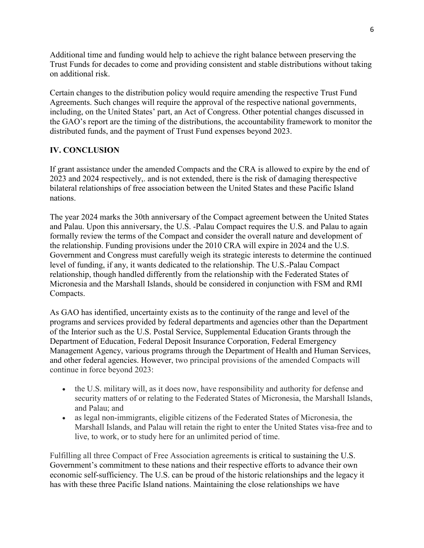Additional time and funding would help to achieve the right balance between preserving the Trust Funds for decades to come and providing consistent and stable distributions without taking on additional risk.

Certain changes to the distribution policy would require amending the respective Trust Fund Agreements. Such changes will require the approval of the respective national governments, including, on the United States' part, an Act of Congress. Other potential changes discussed in the GAO's report are the timing of the distributions, the accountability framework to monitor the distributed funds, and the payment of Trust Fund expenses beyond 2023.

# **IV. CONCLUSION**

If grant assistance under the amended Compacts and the CRA is allowed to expire by the end of 2023 and 2024 respectively,. and is not extended, there is the risk of damaging therespective bilateral relationships of free association between the United States and these Pacific Island nations.

The year 2024 marks the 30th anniversary of the Compact agreement between the United States and Palau. Upon this anniversary, the U.S. -Palau Compact requires the U.S. and Palau to again formally review the terms of the Compact and consider the overall nature and development of the relationship. Funding provisions under the 2010 CRA will expire in 2024 and the U.S. Government and Congress must carefully weigh its strategic interests to determine the continued level of funding, if any, it wants dedicated to the relationship. The U.S.-Palau Compact relationship, though handled differently from the relationship with the Federated States of Micronesia and the Marshall Islands, should be considered in conjunction with FSM and RMI Compacts.

As GAO has identified, uncertainty exists as to the continuity of the range and level of the programs and services provided by federal departments and agencies other than the Department of the Interior such as the U.S. Postal Service, Supplemental Education Grants through the Department of Education, Federal Deposit Insurance Corporation, Federal Emergency Management Agency, various programs through the Department of Health and Human Services, and other federal agencies. However, two principal provisions of the amended Compacts will continue in force beyond 2023:

- the U.S. military will, as it does now, have responsibility and authority for defense and security matters of or relating to the Federated States of Micronesia, the Marshall Islands, and Palau; and
- as legal non-immigrants, eligible citizens of the Federated States of Micronesia, the Marshall Islands, and Palau will retain the right to enter the United States visa-free and to live, to work, or to study here for an unlimited period of time.

Fulfilling all three Compact of Free Association agreements is critical to sustaining the U.S. Government's commitment to these nations and their respective efforts to advance their own economic self-sufficiency. The U.S. can be proud of the historic relationships and the legacy it has with these three Pacific Island nations. Maintaining the close relationships we have